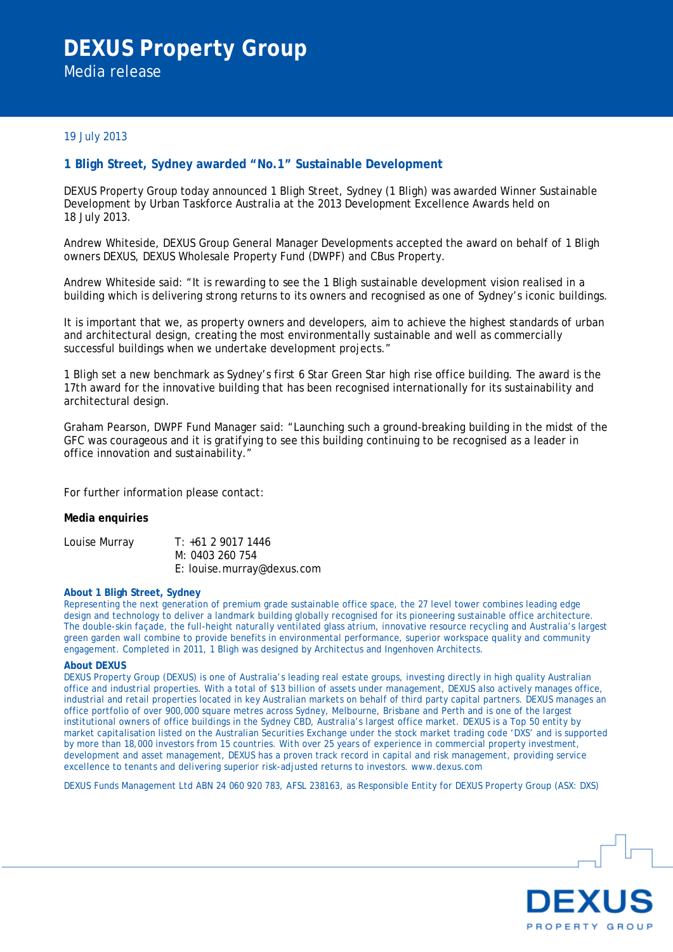# **DEXUS Property Group**  Media release

## 19 July 2013

# **1 Bligh Street, Sydney awarded "No.1" Sustainable Development**

DEXUS Property Group today announced 1 Bligh Street, Sydney (1 Bligh) was awarded Winner Sustainable Development by Urban Taskforce Australia at the 2013 Development Excellence Awards held on 18 July 2013.

Andrew Whiteside, DEXUS Group General Manager Developments accepted the award on behalf of 1 Bligh owners DEXUS, DEXUS Wholesale Property Fund (DWPF) and CBus Property.

Andrew Whiteside said: "It is rewarding to see the 1 Bligh sustainable development vision realised in a building which is delivering strong returns to its owners and recognised as one of Sydney's iconic buildings.

It is important that we, as property owners and developers, aim to achieve the highest standards of urban and architectural design, creating the most environmentally sustainable and well as commercially successful buildings when we undertake development projects."

1 Bligh set a new benchmark as Sydney's first 6 Star Green Star high rise office building. The award is the 17th award for the innovative building that has been recognised internationally for its sustainability and architectural design.

Graham Pearson, DWPF Fund Manager said: "Launching such a ground-breaking building in the midst of the GFC was courageous and it is gratifying to see this building continuing to be recognised as a leader in office innovation and sustainability."

For further information please contact:

### **Media enquiries**

Louise Murray T: +61 2 9017 1446 M: 0403 260 754 E: louise.murray@dexus.com

#### **About 1 Bligh Street, Sydney**

Representing the next generation of premium grade sustainable office space, the 27 level tower combines leading edge design and technology to deliver a landmark building globally recognised for its pioneering sustainable office architecture. The double-skin façade, the full-height naturally ventilated glass atrium, innovative resource recycling and Australia's largest green garden wall combine to provide benefits in environmental performance, superior workspace quality and community engagement. Completed in 2011, 1 Bligh was designed by Architectus and Ingenhoven Architects.

#### **About DEXUS**

DEXUS Property Group (DEXUS) is one of Australia's leading real estate groups, investing directly in high quality Australian office and industrial properties. With a total of \$13 billion of assets under management, DEXUS also actively manages office, industrial and retail properties located in key Australian markets on behalf of third party capital partners. DEXUS manages an office portfolio of over 900,000 square metres across Sydney, Melbourne, Brisbane and Perth and is one of the largest institutional owners of office buildings in the Sydney CBD, Australia's largest office market. DEXUS is a Top 50 entity by market capitalisation listed on the Australian Securities Exchange under the stock market trading code 'DXS' and is supported by more than 18,000 investors from 15 countries. With over 25 years of experience in commercial property investment, development and asset management, DEXUS has a proven track record in capital and risk management, providing service excellence to tenants and delivering superior risk-adjusted returns to investors. www.dexus.com

DEXUS Funds Management Ltd ABN 24 060 920 783, AFSL 238163, as Responsible Entity for DEXUS Property Group (ASX: DXS)